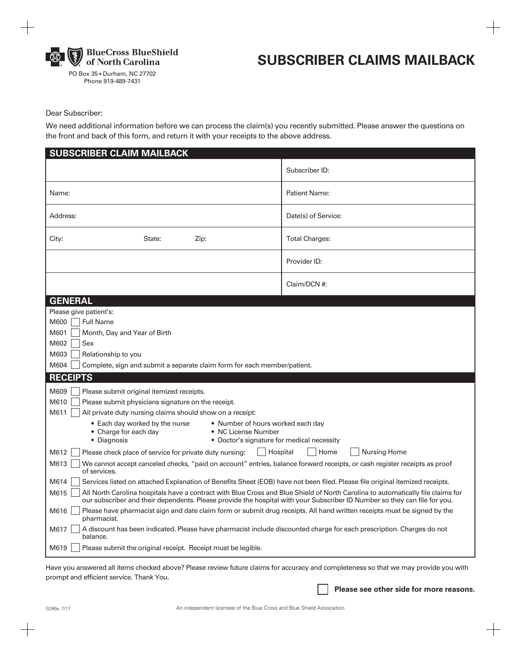

PO Box 35 • Durham, NC 27702 Phone 919-489-7431

# **SUBSCRIBER CLAIMS MAILBACK**

### Dear Subscriber:

We need additional information before we can process the claim(s) you recently submitted. Please answer the questions on the front and back of this form, and return it with your receipts to the above address.

| Subscriber ID:<br><b>Patient Name:</b><br>Name:<br>Address:<br>Date(s) of Service:<br><b>Total Charges:</b><br>City:<br>Zip:<br>State:<br>Provider ID:<br>Claim/DCN #:<br><b>GENERAL</b><br>Please give patient's:<br><b>Full Name</b><br>M600<br>M601<br>Month, Day and Year of Birth<br>M602<br>Sex<br>M603<br>Relationship to you<br>M604<br>Complete, sign and submit a separate claim form for each member/patient.<br><b>RECEIPTS</b><br>M609<br>Please submit original itemized receipts.<br>M610<br>Please submit physicians signature on the receipt.<br>M611<br>All private duty nursing claims should show on a receipt:<br>• Number of hours worked each day<br>• Each day worked by the nurse<br>• Charge for each day<br>• NC License Number<br>• Diagnosis<br>• Doctor's signature for medical necessity<br>M612<br>Hospital<br>Home<br><b>Nursing Home</b><br>Please check place of service for private duty nursing:<br>M613<br>We cannot accept canceled checks, "paid on account" entries, balance forward receipts, or cash register receipts as proof<br>of services.<br>M614<br>Services listed on attached Explanation of Benefits Sheet (EOB) have not been filed. Please file original itemized receipts.<br>All North Carolina hospitals have a contract with Blue Cross and Blue Shield of North Carolina to automatically file claims for<br>M615<br>our subscriber and their dependents. Please provide the hospital with your Subscriber ID Number so they can file for you.<br>Please have pharmacist sign and date claim form or submit drug receipts. All hand written receipts must be signed by the<br>M616<br>pharmacist.<br>A discount has been indicated. Please have pharmacist include discounted charge for each prescription. Charges do not<br>M617<br>balance.<br>M619<br>Please submit the original receipt. Receipt must be legible. | <b>SUBSCRIBER CLAIM MAILBACK</b> |  |
|------------------------------------------------------------------------------------------------------------------------------------------------------------------------------------------------------------------------------------------------------------------------------------------------------------------------------------------------------------------------------------------------------------------------------------------------------------------------------------------------------------------------------------------------------------------------------------------------------------------------------------------------------------------------------------------------------------------------------------------------------------------------------------------------------------------------------------------------------------------------------------------------------------------------------------------------------------------------------------------------------------------------------------------------------------------------------------------------------------------------------------------------------------------------------------------------------------------------------------------------------------------------------------------------------------------------------------------------------------------------------------------------------------------------------------------------------------------------------------------------------------------------------------------------------------------------------------------------------------------------------------------------------------------------------------------------------------------------------------------------------------------------------------------------------------------------------------------------------------------------------------|----------------------------------|--|
|                                                                                                                                                                                                                                                                                                                                                                                                                                                                                                                                                                                                                                                                                                                                                                                                                                                                                                                                                                                                                                                                                                                                                                                                                                                                                                                                                                                                                                                                                                                                                                                                                                                                                                                                                                                                                                                                                    |                                  |  |
|                                                                                                                                                                                                                                                                                                                                                                                                                                                                                                                                                                                                                                                                                                                                                                                                                                                                                                                                                                                                                                                                                                                                                                                                                                                                                                                                                                                                                                                                                                                                                                                                                                                                                                                                                                                                                                                                                    |                                  |  |
|                                                                                                                                                                                                                                                                                                                                                                                                                                                                                                                                                                                                                                                                                                                                                                                                                                                                                                                                                                                                                                                                                                                                                                                                                                                                                                                                                                                                                                                                                                                                                                                                                                                                                                                                                                                                                                                                                    |                                  |  |
|                                                                                                                                                                                                                                                                                                                                                                                                                                                                                                                                                                                                                                                                                                                                                                                                                                                                                                                                                                                                                                                                                                                                                                                                                                                                                                                                                                                                                                                                                                                                                                                                                                                                                                                                                                                                                                                                                    |                                  |  |
|                                                                                                                                                                                                                                                                                                                                                                                                                                                                                                                                                                                                                                                                                                                                                                                                                                                                                                                                                                                                                                                                                                                                                                                                                                                                                                                                                                                                                                                                                                                                                                                                                                                                                                                                                                                                                                                                                    |                                  |  |
|                                                                                                                                                                                                                                                                                                                                                                                                                                                                                                                                                                                                                                                                                                                                                                                                                                                                                                                                                                                                                                                                                                                                                                                                                                                                                                                                                                                                                                                                                                                                                                                                                                                                                                                                                                                                                                                                                    |                                  |  |
|                                                                                                                                                                                                                                                                                                                                                                                                                                                                                                                                                                                                                                                                                                                                                                                                                                                                                                                                                                                                                                                                                                                                                                                                                                                                                                                                                                                                                                                                                                                                                                                                                                                                                                                                                                                                                                                                                    |                                  |  |
|                                                                                                                                                                                                                                                                                                                                                                                                                                                                                                                                                                                                                                                                                                                                                                                                                                                                                                                                                                                                                                                                                                                                                                                                                                                                                                                                                                                                                                                                                                                                                                                                                                                                                                                                                                                                                                                                                    |                                  |  |
|                                                                                                                                                                                                                                                                                                                                                                                                                                                                                                                                                                                                                                                                                                                                                                                                                                                                                                                                                                                                                                                                                                                                                                                                                                                                                                                                                                                                                                                                                                                                                                                                                                                                                                                                                                                                                                                                                    |                                  |  |
|                                                                                                                                                                                                                                                                                                                                                                                                                                                                                                                                                                                                                                                                                                                                                                                                                                                                                                                                                                                                                                                                                                                                                                                                                                                                                                                                                                                                                                                                                                                                                                                                                                                                                                                                                                                                                                                                                    |                                  |  |
|                                                                                                                                                                                                                                                                                                                                                                                                                                                                                                                                                                                                                                                                                                                                                                                                                                                                                                                                                                                                                                                                                                                                                                                                                                                                                                                                                                                                                                                                                                                                                                                                                                                                                                                                                                                                                                                                                    |                                  |  |
|                                                                                                                                                                                                                                                                                                                                                                                                                                                                                                                                                                                                                                                                                                                                                                                                                                                                                                                                                                                                                                                                                                                                                                                                                                                                                                                                                                                                                                                                                                                                                                                                                                                                                                                                                                                                                                                                                    |                                  |  |
|                                                                                                                                                                                                                                                                                                                                                                                                                                                                                                                                                                                                                                                                                                                                                                                                                                                                                                                                                                                                                                                                                                                                                                                                                                                                                                                                                                                                                                                                                                                                                                                                                                                                                                                                                                                                                                                                                    |                                  |  |
|                                                                                                                                                                                                                                                                                                                                                                                                                                                                                                                                                                                                                                                                                                                                                                                                                                                                                                                                                                                                                                                                                                                                                                                                                                                                                                                                                                                                                                                                                                                                                                                                                                                                                                                                                                                                                                                                                    |                                  |  |
|                                                                                                                                                                                                                                                                                                                                                                                                                                                                                                                                                                                                                                                                                                                                                                                                                                                                                                                                                                                                                                                                                                                                                                                                                                                                                                                                                                                                                                                                                                                                                                                                                                                                                                                                                                                                                                                                                    |                                  |  |
|                                                                                                                                                                                                                                                                                                                                                                                                                                                                                                                                                                                                                                                                                                                                                                                                                                                                                                                                                                                                                                                                                                                                                                                                                                                                                                                                                                                                                                                                                                                                                                                                                                                                                                                                                                                                                                                                                    |                                  |  |
|                                                                                                                                                                                                                                                                                                                                                                                                                                                                                                                                                                                                                                                                                                                                                                                                                                                                                                                                                                                                                                                                                                                                                                                                                                                                                                                                                                                                                                                                                                                                                                                                                                                                                                                                                                                                                                                                                    |                                  |  |
|                                                                                                                                                                                                                                                                                                                                                                                                                                                                                                                                                                                                                                                                                                                                                                                                                                                                                                                                                                                                                                                                                                                                                                                                                                                                                                                                                                                                                                                                                                                                                                                                                                                                                                                                                                                                                                                                                    |                                  |  |
|                                                                                                                                                                                                                                                                                                                                                                                                                                                                                                                                                                                                                                                                                                                                                                                                                                                                                                                                                                                                                                                                                                                                                                                                                                                                                                                                                                                                                                                                                                                                                                                                                                                                                                                                                                                                                                                                                    |                                  |  |
|                                                                                                                                                                                                                                                                                                                                                                                                                                                                                                                                                                                                                                                                                                                                                                                                                                                                                                                                                                                                                                                                                                                                                                                                                                                                                                                                                                                                                                                                                                                                                                                                                                                                                                                                                                                                                                                                                    |                                  |  |
|                                                                                                                                                                                                                                                                                                                                                                                                                                                                                                                                                                                                                                                                                                                                                                                                                                                                                                                                                                                                                                                                                                                                                                                                                                                                                                                                                                                                                                                                                                                                                                                                                                                                                                                                                                                                                                                                                    |                                  |  |
|                                                                                                                                                                                                                                                                                                                                                                                                                                                                                                                                                                                                                                                                                                                                                                                                                                                                                                                                                                                                                                                                                                                                                                                                                                                                                                                                                                                                                                                                                                                                                                                                                                                                                                                                                                                                                                                                                    |                                  |  |
|                                                                                                                                                                                                                                                                                                                                                                                                                                                                                                                                                                                                                                                                                                                                                                                                                                                                                                                                                                                                                                                                                                                                                                                                                                                                                                                                                                                                                                                                                                                                                                                                                                                                                                                                                                                                                                                                                    |                                  |  |
|                                                                                                                                                                                                                                                                                                                                                                                                                                                                                                                                                                                                                                                                                                                                                                                                                                                                                                                                                                                                                                                                                                                                                                                                                                                                                                                                                                                                                                                                                                                                                                                                                                                                                                                                                                                                                                                                                    |                                  |  |
|                                                                                                                                                                                                                                                                                                                                                                                                                                                                                                                                                                                                                                                                                                                                                                                                                                                                                                                                                                                                                                                                                                                                                                                                                                                                                                                                                                                                                                                                                                                                                                                                                                                                                                                                                                                                                                                                                    |                                  |  |
|                                                                                                                                                                                                                                                                                                                                                                                                                                                                                                                                                                                                                                                                                                                                                                                                                                                                                                                                                                                                                                                                                                                                                                                                                                                                                                                                                                                                                                                                                                                                                                                                                                                                                                                                                                                                                                                                                    |                                  |  |
|                                                                                                                                                                                                                                                                                                                                                                                                                                                                                                                                                                                                                                                                                                                                                                                                                                                                                                                                                                                                                                                                                                                                                                                                                                                                                                                                                                                                                                                                                                                                                                                                                                                                                                                                                                                                                                                                                    |                                  |  |

Have you answered all items checked above? Please review future claims for accuracy and completeness so that we may provide you with prompt and efficient service. Thank You.

**Please see other side for more reasons.**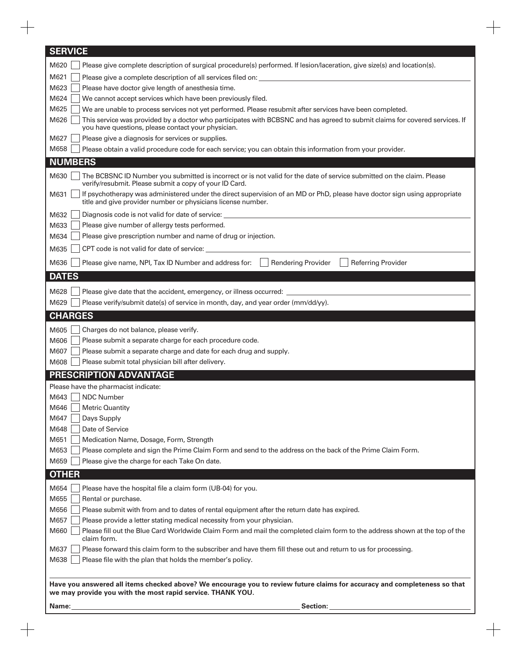| <b>SERVICE</b>                                                                                                                                                                                    |
|---------------------------------------------------------------------------------------------------------------------------------------------------------------------------------------------------|
| M620<br>Please give complete description of surgical procedure(s) performed. If lesion/laceration, give size(s) and location(s).                                                                  |
| M621                                                                                                                                                                                              |
| M623<br>Please have doctor give length of anesthesia time.                                                                                                                                        |
| M624<br>We cannot accept services which have been previously filed.                                                                                                                               |
| M625<br>We are unable to process services not yet performed. Please resubmit after services have been completed.                                                                                  |
| M626<br>This service was provided by a doctor who participates with BCBSNC and has agreed to submit claims for covered services. If<br>you have questions, please contact your physician.         |
| Please give a diagnosis for services or supplies.<br>M627                                                                                                                                         |
| M658<br>Please obtain a valid procedure code for each service; you can obtain this information from your provider.                                                                                |
| <b>NUMBERS</b>                                                                                                                                                                                    |
| The BCBSNC ID Number you submitted is incorrect or is not valid for the date of service submitted on the claim. Please<br>M630<br>verify/resubmit. Please submit a copy of your ID Card.          |
| If psychotherapy was administered under the direct supervision of an MD or PhD, please have doctor sign using appropriate<br>M631<br>title and give provider number or physicians license number. |
| Diagnosis code is not valid for date of service: _<br>M632                                                                                                                                        |
| Please give number of allergy tests performed.<br>M633                                                                                                                                            |
| Please give prescription number and name of drug or injection.<br>M634                                                                                                                            |
| M635<br>CPT code is not valid for date of service:                                                                                                                                                |
| M636<br><b>Rendering Provider</b><br><b>Referring Provider</b><br>Please give name, NPI, Tax ID Number and address for:                                                                           |
| <b>DATES</b>                                                                                                                                                                                      |
| M628<br>Please give date that the accident, emergency, or illness occurred:                                                                                                                       |
| Please verify/submit date(s) of service in month, day, and year order (mm/dd/yy).<br>M629                                                                                                         |
| <b>CHARGES</b>                                                                                                                                                                                    |
| M605<br>Charges do not balance, please verify.                                                                                                                                                    |
| Please submit a separate charge for each procedure code.<br>M606                                                                                                                                  |
| M607<br>Please submit a separate charge and date for each drug and supply.                                                                                                                        |
| Please submit total physician bill after delivery.<br>M608                                                                                                                                        |
| <b>PRESCRIPTION ADVANTAGE</b>                                                                                                                                                                     |
| Please have the pharmacist indicate:                                                                                                                                                              |
| <b>NDC Number</b><br>M643                                                                                                                                                                         |
| <b>Metric Quantity</b><br>M646                                                                                                                                                                    |
| Days Supply<br>M647                                                                                                                                                                               |
| Date of Service<br>M648                                                                                                                                                                           |
| M651<br>Medication Name, Dosage, Form, Strength                                                                                                                                                   |
| M653<br>Please complete and sign the Prime Claim Form and send to the address on the back of the Prime Claim Form.                                                                                |
| M659<br>Please give the charge for each Take On date.                                                                                                                                             |
| <b>OTHER</b>                                                                                                                                                                                      |
| M654<br>Please have the hospital file a claim form (UB-04) for you.                                                                                                                               |
| M655<br>Rental or purchase.                                                                                                                                                                       |
| M656<br>Please submit with from and to dates of rental equipment after the return date has expired.                                                                                               |
| Please provide a letter stating medical necessity from your physician.<br>M657                                                                                                                    |
| Please fill out the Blue Card Worldwide Claim Form and mail the completed claim form to the address shown at the top of the<br>M660<br>claim form.                                                |
| Please forward this claim form to the subscriber and have them fill these out and return to us for processing.<br>M637                                                                            |
| M638<br>Please file with the plan that holds the member's policy.                                                                                                                                 |
|                                                                                                                                                                                                   |
| Have you answered all items checked above? We encourage you to review future claims for accuracy and completeness so that<br>we may provide you with the most rapid service. THANK YOU.           |
|                                                                                                                                                                                                   |
| Section:<br>Name:                                                                                                                                                                                 |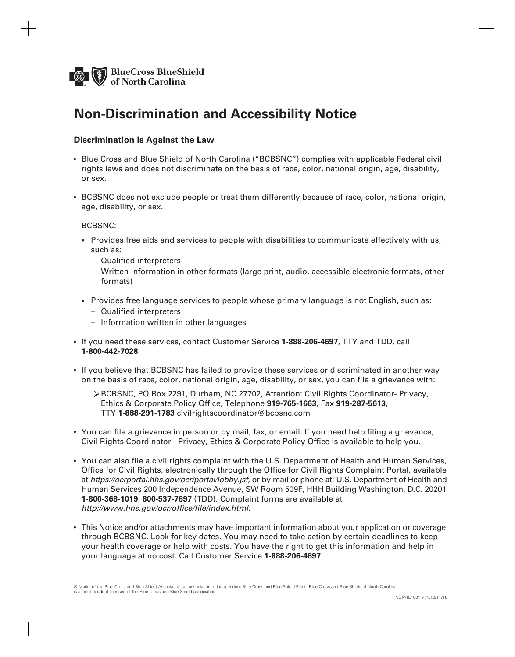

## **Non-Discrimination and Accessibility Notice**

### **Discrimination is Against the Law**

- Blue Cross and Blue Shield of North Carolina ("BCBSNC") complies with applicable Federal civil rights laws and does not discriminate on the basis of race, color, national origin, age, disability, or sex.
- BCBSNC does not exclude people or treat them differently because of race, color, national origin, age, disability, or sex.

#### BCBSNC:

- **Provides free aids and services to people with disabilities to communicate effectively with us,**  such as:
	- Qualified interpreters
	- Written information in other formats (large print, audio, accessible electronic formats, other formats)
- n Provides free language services to people whose primary language is not English, such as:
	- Qualified interpreters
	- Information written in other languages
- If you need these services, contact Customer Service **1-888-206-4697**, TTY and TDD, call **1-800-442-7028**.
- If you believe that BCBSNC has failed to provide these services or discriminated in another way on the basis of race, color, national origin, age, disability, or sex, you can file a grievance with:
	- BCBSNC, PO [Box 2291, Durham, NC 27702, Attention: Civil Rights](email:civilrightscoordinator@bcbsnc.com) Coordinator- Privacy, Ethics & Corporate Policy Office, Telephone **919-765-1663**, Fax **919-287-5613**, TTY **1-888-291-1783** civilrightscoordinator@bcbsnc.com
- You can file a grievance in person or by mail, fax, or email. If you need help filing a grievance, Civil Rights Coordinator - Privacy, Ethics & Corporate Policy Office is available to help you.
- You can also file a civil rights complaint with the U.S. Department of Health and Human Services, [Office for Civil Rights, electronically through the Offi](https://ocrportal.hhs.gov/ocr/portal/lobby.jsf)ce for Civil Rights Complaint Portal, available at *https://ocrportal.hhs.gov/ocr/portal/lobby.jsf*, or by mail or phone at: U.S. Department of Health and Human Services 200 Independence Avenue, SW Room 509F, HHH Building Washington, D.C. 20201 **1-800-368-1019**, **800-537-7697** (TDD). Complaint forms are available at *<http://www.hhs.gov/ocr/office/file/index.html>*.
- This Notice and/or attachments may have important information about your application or coverage through BCBSNC. Look for key dates. You may need to take action by certain deadlines to keep your health coverage or help with costs. You have the right to get this information and help in your language at no cost. Call Customer Service **1-888-206-4697**.